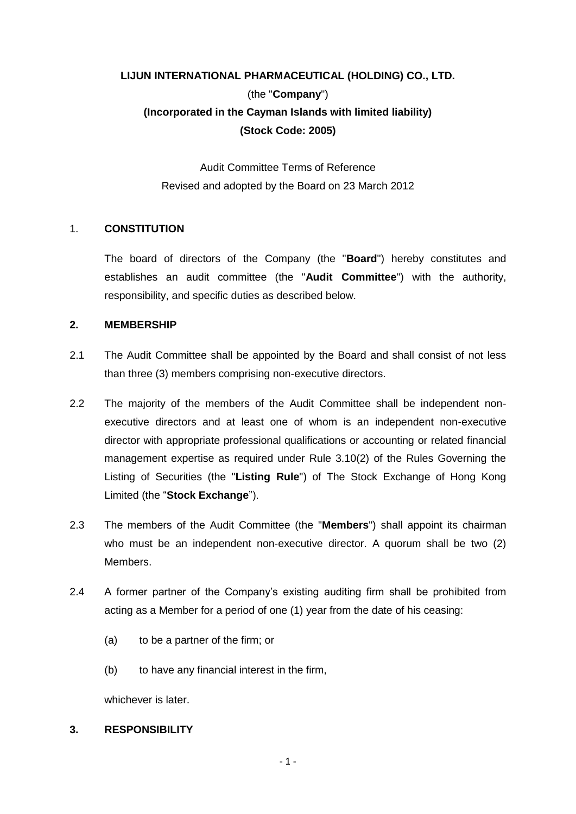# **LIJUN INTERNATIONAL PHARMACEUTICAL (HOLDING) CO., LTD.** (the "**Company**") **(Incorporated in the Cayman Islands with limited liability) (Stock Code: 2005)**

Audit Committee Terms of Reference Revised and adopted by the Board on 23 March 2012

# 1. **CONSTITUTION**

The board of directors of the Company (the "**Board**") hereby constitutes and establishes an audit committee (the "**Audit Committee**") with the authority, responsibility, and specific duties as described below.

#### **2. MEMBERSHIP**

- 2.1 The Audit Committee shall be appointed by the Board and shall consist of not less than three (3) members comprising non-executive directors.
- 2.2 The majority of the members of the Audit Committee shall be independent nonexecutive directors and at least one of whom is an independent non-executive director with appropriate professional qualifications or accounting or related financial management expertise as required under Rule 3.10(2) of the Rules Governing the Listing of Securities (the "**Listing Rule**") of The Stock Exchange of Hong Kong Limited (the "**Stock Exchange**").
- 2.3 The members of the Audit Committee (the "**Members**") shall appoint its chairman who must be an independent non-executive director. A quorum shall be two (2) **Members**
- 2.4 A former partner of the Company's existing auditing firm shall be prohibited from acting as a Member for a period of one (1) year from the date of his ceasing:
	- (a) to be a partner of the firm; or
	- (b) to have any financial interest in the firm,

whichever is later.

## **3. RESPONSIBILITY**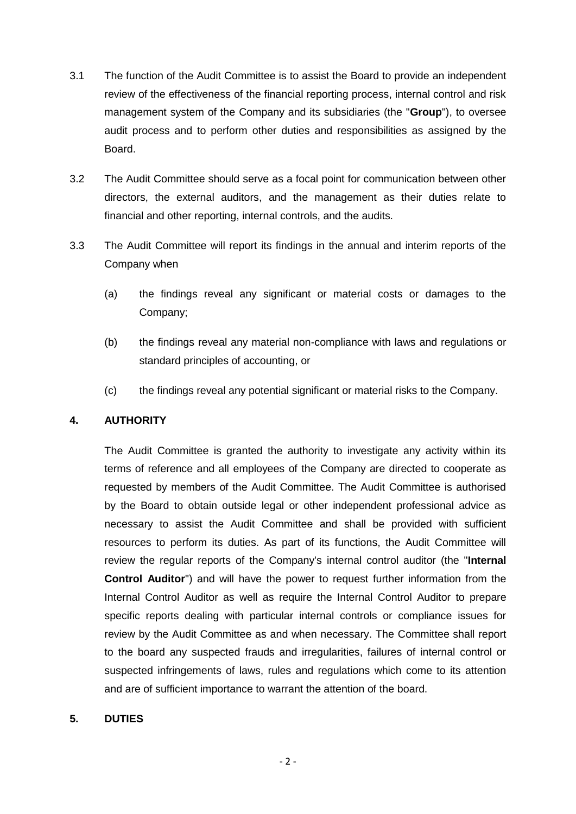- 3.1 The function of the Audit Committee is to assist the Board to provide an independent review of the effectiveness of the financial reporting process, internal control and risk management system of the Company and its subsidiaries (the "**Group**"), to oversee audit process and to perform other duties and responsibilities as assigned by the Board.
- 3.2 The Audit Committee should serve as a focal point for communication between other directors, the external auditors, and the management as their duties relate to financial and other reporting, internal controls, and the audits.
- 3.3 The Audit Committee will report its findings in the annual and interim reports of the Company when
	- (a) the findings reveal any significant or material costs or damages to the Company;
	- (b) the findings reveal any material non-compliance with laws and regulations or standard principles of accounting, or
	- (c) the findings reveal any potential significant or material risks to the Company.

# **4. AUTHORITY**

The Audit Committee is granted the authority to investigate any activity within its terms of reference and all employees of the Company are directed to cooperate as requested by members of the Audit Committee. The Audit Committee is authorised by the Board to obtain outside legal or other independent professional advice as necessary to assist the Audit Committee and shall be provided with sufficient resources to perform its duties. As part of its functions, the Audit Committee will review the regular reports of the Company's internal control auditor (the "**Internal Control Auditor**") and will have the power to request further information from the Internal Control Auditor as well as require the Internal Control Auditor to prepare specific reports dealing with particular internal controls or compliance issues for review by the Audit Committee as and when necessary. The Committee shall report to the board any suspected frauds and irregularities, failures of internal control or suspected infringements of laws, rules and regulations which come to its attention and are of sufficient importance to warrant the attention of the board.

#### **5. DUTIES**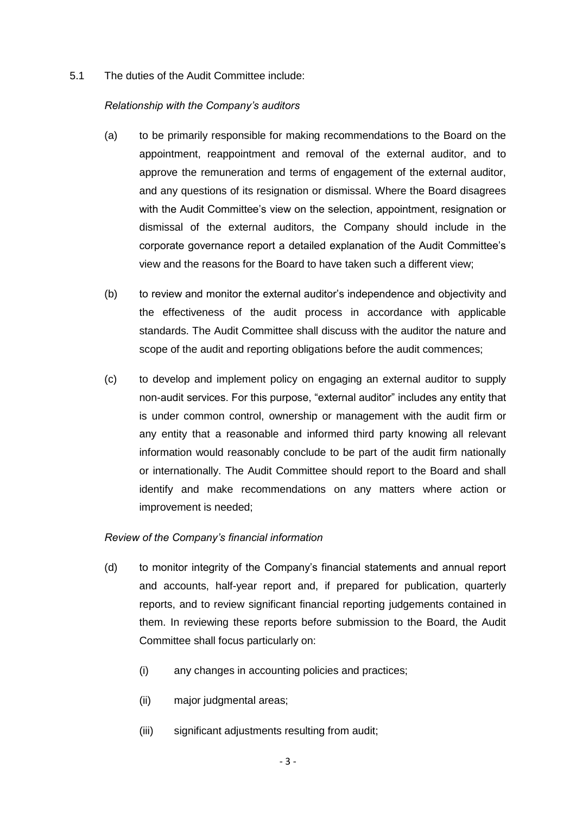5.1 The duties of the Audit Committee include:

#### *Relationship with the Company's auditors*

- (a) to be primarily responsible for making recommendations to the Board on the appointment, reappointment and removal of the external auditor, and to approve the remuneration and terms of engagement of the external auditor, and any questions of its resignation or dismissal. Where the Board disagrees with the Audit Committee's view on the selection, appointment, resignation or dismissal of the external auditors, the Company should include in the corporate governance report a detailed explanation of the Audit Committee's view and the reasons for the Board to have taken such a different view;
- (b) to review and monitor the external auditor's independence and objectivity and the effectiveness of the audit process in accordance with applicable standards. The Audit Committee shall discuss with the auditor the nature and scope of the audit and reporting obligations before the audit commences;
- (c) to develop and implement policy on engaging an external auditor to supply non-audit services. For this purpose, "external auditor" includes any entity that is under common control, ownership or management with the audit firm or any entity that a reasonable and informed third party knowing all relevant information would reasonably conclude to be part of the audit firm nationally or internationally. The Audit Committee should report to the Board and shall identify and make recommendations on any matters where action or improvement is needed;

#### *Review of the Company's financial information*

- (d) to monitor integrity of the Company's financial statements and annual report and accounts, half-year report and, if prepared for publication, quarterly reports, and to review significant financial reporting judgements contained in them. In reviewing these reports before submission to the Board, the Audit Committee shall focus particularly on:
	- (i) any changes in accounting policies and practices;
	- (ii) major judgmental areas;
	- (iii) significant adjustments resulting from audit;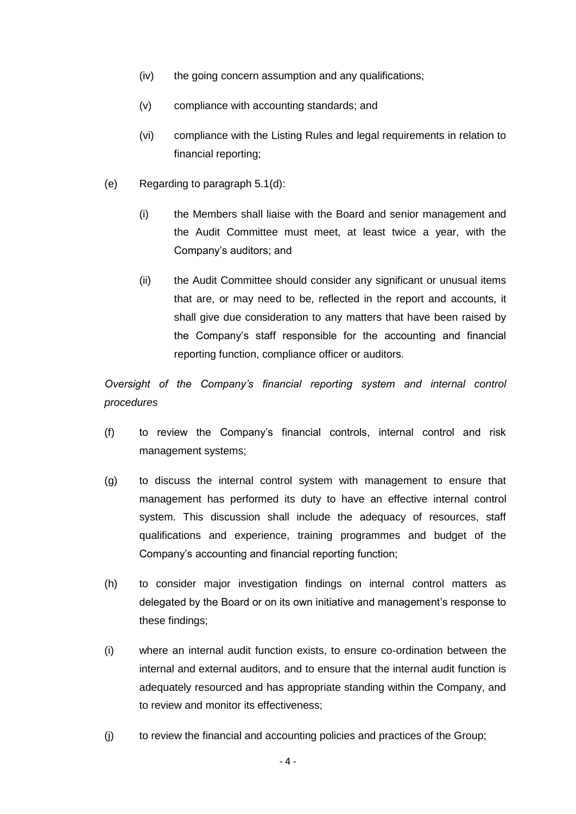- (iv) the going concern assumption and any qualifications;
- (v) compliance with accounting standards; and
- (vi) compliance with the Listing Rules and legal requirements in relation to financial reporting;
- (e) Regarding to paragraph 5.1(d):
	- (i) the Members shall liaise with the Board and senior management and the Audit Committee must meet, at least twice a year, with the Company's auditors; and
	- (ii) the Audit Committee should consider any significant or unusual items that are, or may need to be, reflected in the report and accounts, it shall give due consideration to any matters that have been raised by the Company's staff responsible for the accounting and financial reporting function, compliance officer or auditors.

*Oversight of the Company's financial reporting system and internal control procedures* 

- (f) to review the Company's financial controls, internal control and risk management systems;
- (g) to discuss the internal control system with management to ensure that management has performed its duty to have an effective internal control system. This discussion shall include the adequacy of resources, staff qualifications and experience, training programmes and budget of the Company's accounting and financial reporting function;
- (h) to consider major investigation findings on internal control matters as delegated by the Board or on its own initiative and management's response to these findings;
- (i) where an internal audit function exists, to ensure co-ordination between the internal and external auditors, and to ensure that the internal audit function is adequately resourced and has appropriate standing within the Company, and to review and monitor its effectiveness;
- (j) to review the financial and accounting policies and practices of the Group;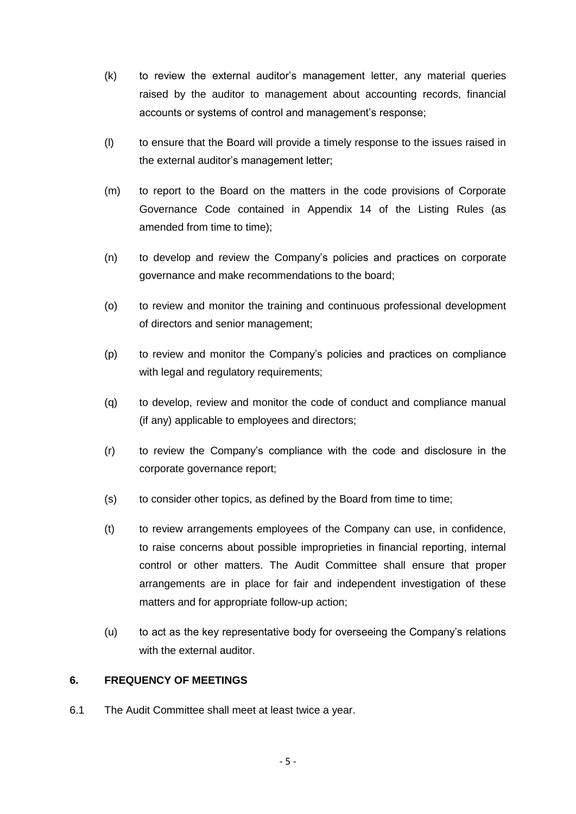- (k) to review the external auditor's management letter, any material queries raised by the auditor to management about accounting records, financial accounts or systems of control and management's response;
- (l) to ensure that the Board will provide a timely response to the issues raised in the external auditor's management letter;
- (m) to report to the Board on the matters in the code provisions of Corporate Governance Code contained in Appendix 14 of the Listing Rules (as amended from time to time);
- (n) to develop and review the Company's policies and practices on corporate governance and make recommendations to the board;
- (o) to review and monitor the training and continuous professional development of directors and senior management;
- (p) to review and monitor the Company's policies and practices on compliance with legal and regulatory requirements;
- (q) to develop, review and monitor the code of conduct and compliance manual (if any) applicable to employees and directors;
- (r) to review the Company's compliance with the code and disclosure in the corporate governance report;
- (s) to consider other topics, as defined by the Board from time to time;
- (t) to review arrangements employees of the Company can use, in confidence, to raise concerns about possible improprieties in financial reporting, internal control or other matters. The Audit Committee shall ensure that proper arrangements are in place for fair and independent investigation of these matters and for appropriate follow-up action;
- (u) to act as the key representative body for overseeing the Company's relations with the external auditor.

# **6. FREQUENCY OF MEETINGS**

6.1 The Audit Committee shall meet at least twice a year.